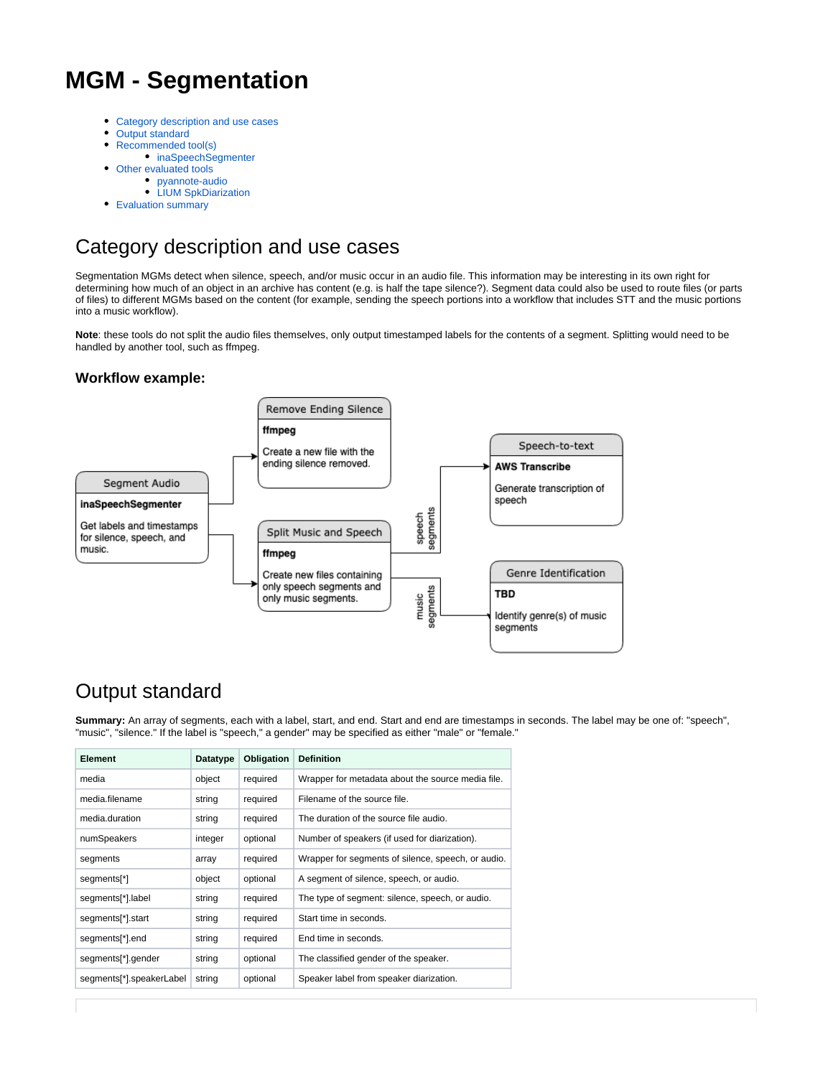# **MGM - Segmentation**

- [Category description and use cases](#page-0-0)
- [Output standard](#page-0-1)
- $\bullet$ [Recommended tool\(s\)](#page-3-0)
- [inaSpeechSegmenter](#page-3-1)
- [Other evaluated tools](#page-4-0)
	- [pyannote-audio](#page-4-1)
	- [LIUM SpkDiarization](#page-6-0)
- [Evaluation summary](#page-7-0)

# <span id="page-0-0"></span>Category description and use cases

Segmentation MGMs detect when silence, speech, and/or music occur in an audio file. This information may be interesting in its own right for determining how much of an object in an archive has content (e.g. is half the tape silence?). Segment data could also be used to route files (or parts of files) to different MGMs based on the content (for example, sending the speech portions into a workflow that includes STT and the music portions into a music workflow).

**Note**: these tools do not split the audio files themselves, only output timestamped labels for the contents of a segment. Splitting would need to be handled by another tool, such as ffmpeg.

## **Workflow example:**



# <span id="page-0-1"></span>Output standard

**Summary:** An array of segments, each with a label, start, and end. Start and end are timestamps in seconds. The label may be one of: "speech", "music", "silence." If the label is "speech," a gender" may be specified as either "male" or "female."

| Element                         | Datatype | Obligation | <b>Definition</b>                                  |
|---------------------------------|----------|------------|----------------------------------------------------|
| media                           | object   | required   | Wrapper for metadata about the source media file.  |
| media.filename                  | string   | required   | Filename of the source file.                       |
| media.duration                  | string   | required   | The duration of the source file audio.             |
| numSpeakers                     | integer  | optional   | Number of speakers (if used for diarization).      |
| segments                        | array    | required   | Wrapper for segments of silence, speech, or audio. |
| segments <sup>*</sup> ]         | object   | optional   | A segment of silence, speech, or audio.            |
| segments[*].label               | string   | required   | The type of segment: silence, speech, or audio.    |
| segments[*].start               | string   | required   | Start time in seconds.                             |
| segments <sup>[*</sup> ].end    | string   | required   | End time in seconds.                               |
| segments <sup>[*</sup> ].gender | string   | optional   | The classified gender of the speaker.              |
| segments[*].speakerLabel        | string   | optional   | Speaker label from speaker diarization.            |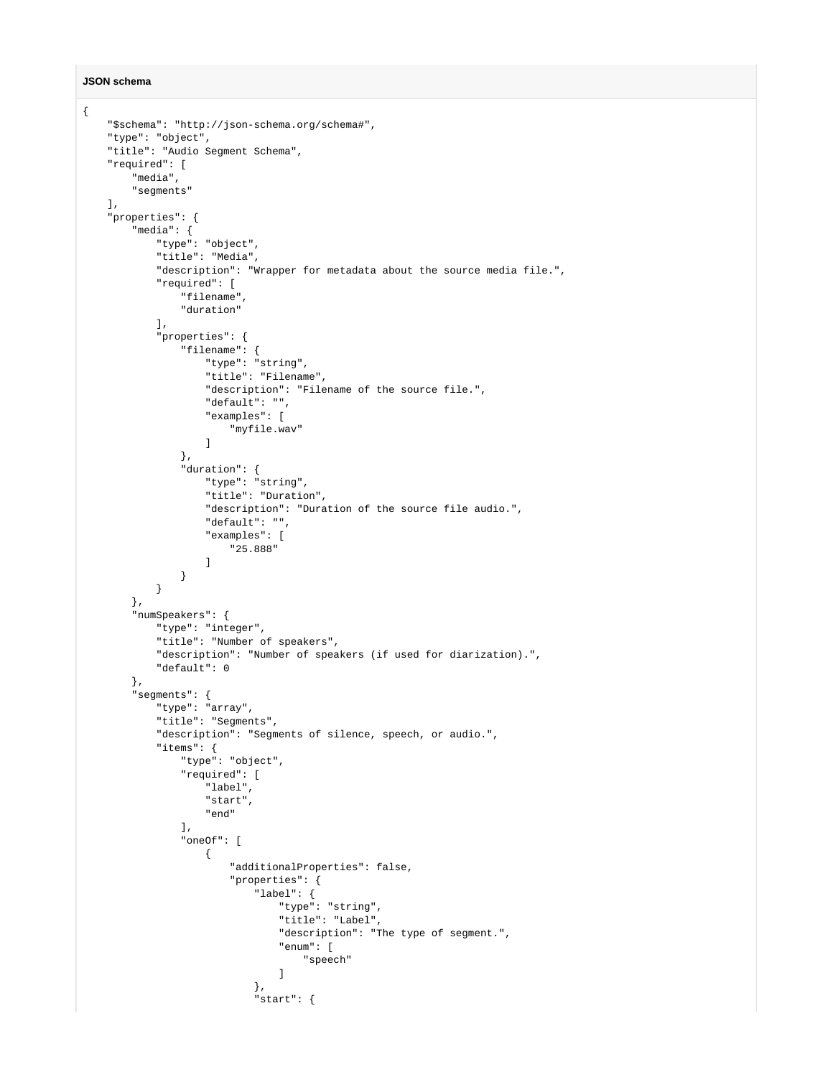#### **JSON schema**

```
{
     "$schema": "http://json-schema.org/schema#",
     "type": "object",
     "title": "Audio Segment Schema",
     "required": [
         "media",
         "segments"
    ],
     "properties": {
         "media": {
             "type": "object",
             "title": "Media",
             "description": "Wrapper for metadata about the source media file.",
             "required": [
                 "filename",
                 "duration"
             ],
             "properties": {
                 "filename": {
                     "type": "string",
                     "title": "Filename",
                     "description": "Filename of the source file.",
                      "default": "",
                      "examples": [
                     "myfile.wav"
 ]
                 },
                  "duration": {
                     "type": "string",
                      "title": "Duration",
                      "description": "Duration of the source file audio.",
                     "default": "",
                     "examples": [
                         "25.888"
 ]
                 }
             }
         },
         "numSpeakers": {
             "type": "integer",
             "title": "Number of speakers",
             "description": "Number of speakers (if used for diarization).",
             "default": 0
         },
         "segments": {
             "type": "array",
             "title": "Segments",
             "description": "Segments of silence, speech, or audio.",
             "items": {
                 "type": "object",
                  "required": [
                     "label",
                     "start",
                     "end"
\qquad \qquad \Box "oneOf": [
\{ "additionalProperties": false,
                          "properties": {
                              "label": {
                                 "type": "string",
                                  "title": "Label",
                                  "description": "The type of segment.",
                                  "enum": [
                                      "speech"
design to the control of the control of the control of the control of the control of the control of the control of
\}, \{ "start": {
```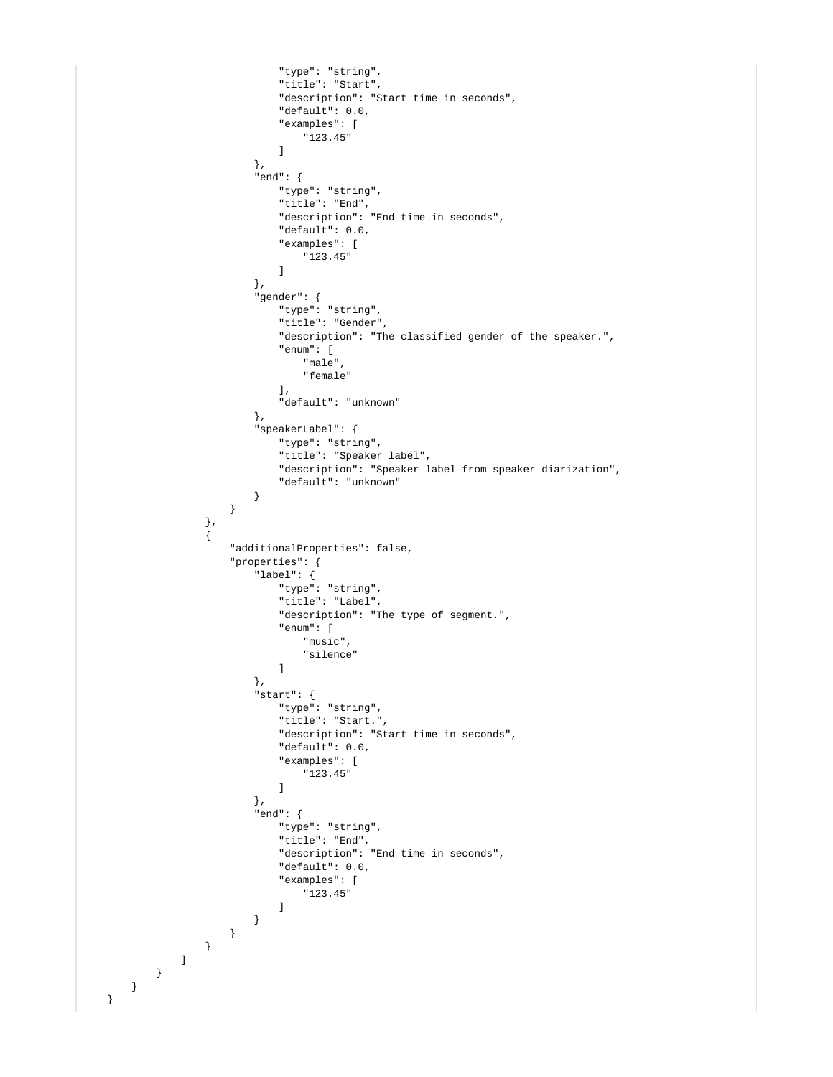```
 "type": "string",
                                           "title": "Start",
                                           "description": "Start time in seconds",
                                           "default": 0.0,
                                           "examples": [
                                                "123.45"
design to the control of the control of the control of the control of the control of the control of the control of
\}, \{ "end": {
                                          "type": "string",
                                          "title": "End",
                                          "description": "End time in seconds",
                                           "default": 0.0,
                                           "examples": [
                                          "123.45"design to the control of the control of the control of the control of the control of the control of the control of
\}, \{ "gender": {
                                          "type": "string",
                                           "title": "Gender",
                                           "description": "The classified gender of the speaker.",
                                           "enum": [
                                               "male",
                                                "female"
\mathbf{1}, \mathbf{1}, \mathbf{1}, \mathbf{1}, \mathbf{1}, \mathbf{1}, \mathbf{1}, \mathbf{1}, \mathbf{1}, \mathbf{1}, \mathbf{1}, \mathbf{1}, \mathbf{1}, \mathbf{1}, \mathbf{1}, \mathbf{1}, \mathbf{1}, \mathbf{1}, \mathbf{1}, \mathbf{1}, \mathbf{1}, \mathbf{1},  "default": "unknown"
\}, \{ "speakerLabel": {
                                           "type": "string",
                                           "title": "Speaker label",
                                           "description": "Speaker label from speaker diarization",
                                           "default": "unknown"
 }
 }
                          },
\{ "additionalProperties": false,
                                "properties": {
                                     "label": {
                                          "type": "string",
                                           "title": "Label",
                                          "description": "The type of segment.",
                                          "enum": [
                                               "music",
                                                "silence"
design to the control of the control of the control of the control of the control of the control of the control of
\}, \{ "start": {
                                          "type": "string",
                                          "title": "Start.",
                                          "description": "Start time in seconds",
                                           "default": 0.0,
                                           "examples": [
                                          "123.45"
design to the control of the control of the control of the control of the control of the control of the control of
\}, \{ "end": {
                                          "type": "string",
                                           "title": "End",
                                           "description": "End time in seconds",
                                          "default": 0.0,
                                          "examples": [
                                                "123.45"
design to the control of the control of the control of the control of the control of the control of the control of
 }
                              }
                         }
                  \overline{)} }
```
 } }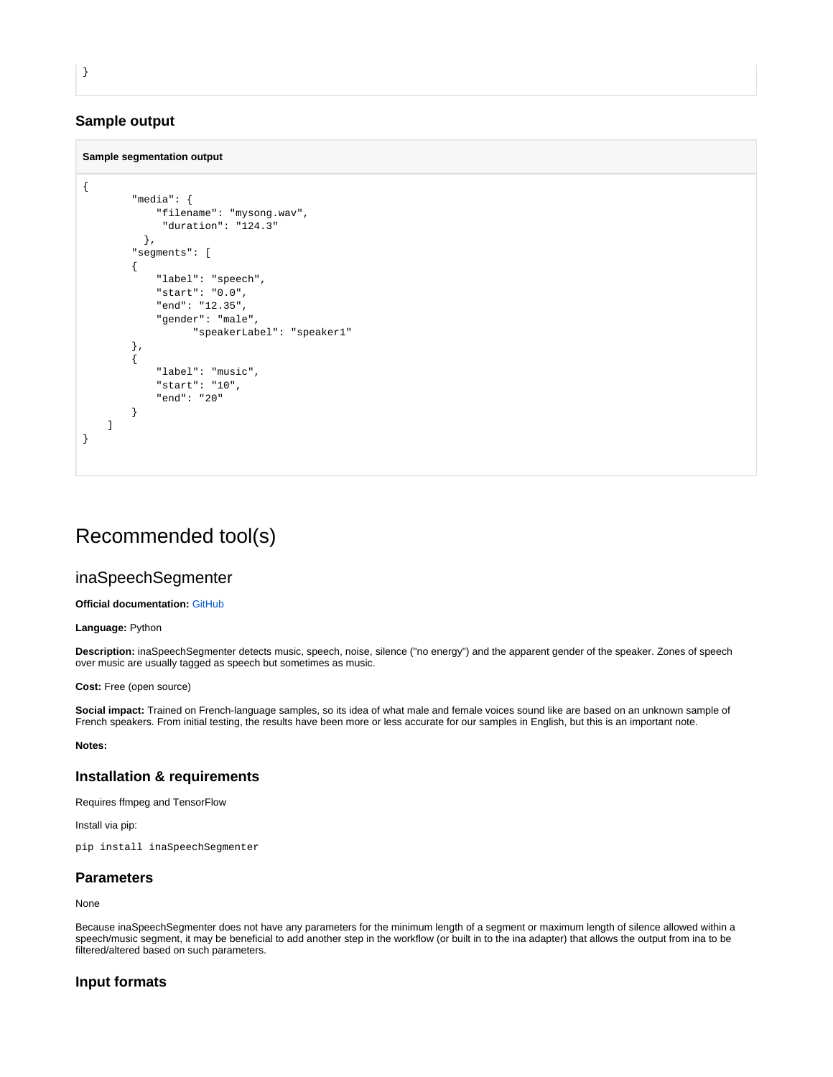## **Sample output**

### **Sample segmentation output**

```
{
         "media": {
             "filename": "mysong.wav",
               "duration": "124.3"
           },
          "segments": [
          {
              "label": "speech",
              "start": "0.0",
              "end": "12.35",
              "gender": "male",
                    "speakerLabel": "speaker1"
         },
         {
              "label": "music",
              "start": "10",
              "end": "20"
         }
     ]
}
```
## <span id="page-3-0"></span>Recommended tool(s)

## <span id="page-3-1"></span>inaSpeechSegmenter

#### **Official documentation:** [GitHub](https://github.com/ina-foss/inaSpeechSegmenter)

**Language:** Python

**Description:** inaSpeechSegmenter detects music, speech, noise, silence ("no energy") and the apparent gender of the speaker. Zones of speech over music are usually tagged as speech but sometimes as music.

**Cost:** Free (open source)

**Social impact:** Trained on French-language samples, so its idea of what male and female voices sound like are based on an unknown sample of French speakers. From initial testing, the results have been more or less accurate for our samples in English, but this is an important note.

#### **Notes:**

## **Installation & requirements**

Requires ffmpeg and TensorFlow

Install via pip:

pip install inaSpeechSegmenter

## **Parameters**

None

Because inaSpeechSegmenter does not have any parameters for the minimum length of a segment or maximum length of silence allowed within a speech/music segment, it may be beneficial to add another step in the workflow (or built in to the ina adapter) that allows the output from ina to be filtered/altered based on such parameters.

## **Input formats**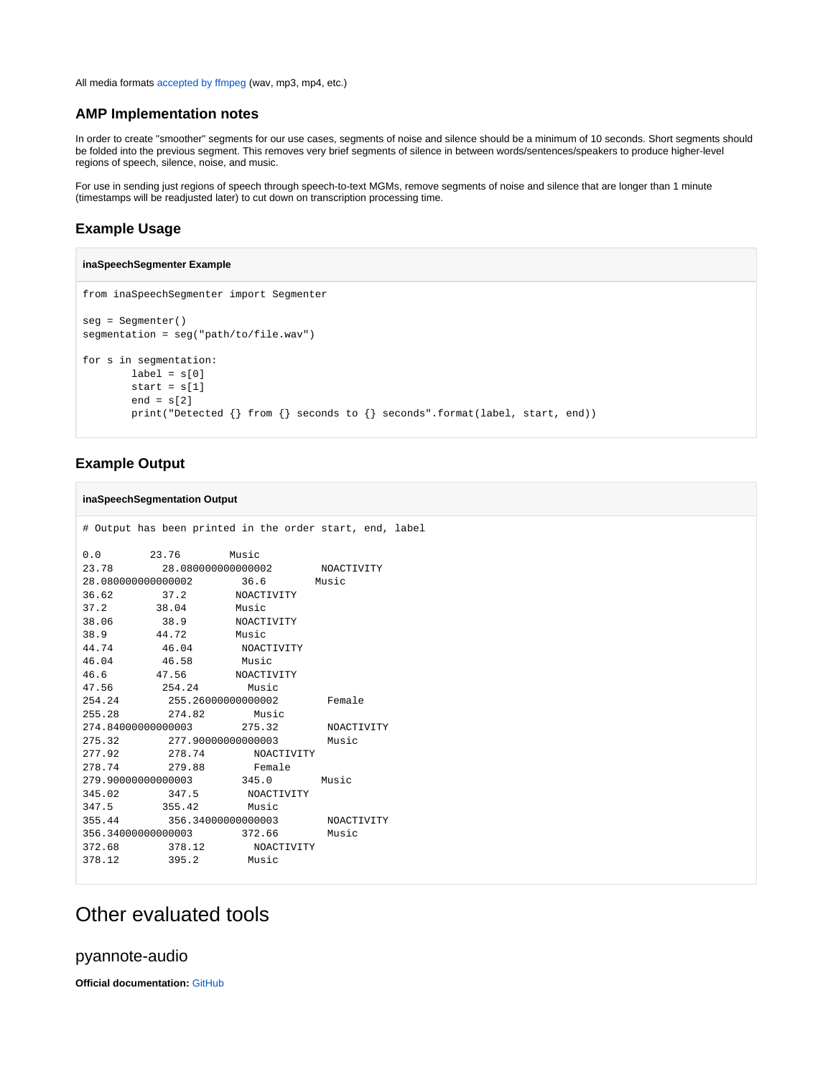All media formats [accepted by ffmpeg](https://www.ffmpeg.org/general.html#Supported-File-Formats_002c-Codecs-or-Features) (wav, mp3, mp4, etc.)

### **AMP Implementation notes**

In order to create "smoother" segments for our use cases, segments of noise and silence should be a minimum of 10 seconds. Short segments should be folded into the previous segment. This removes very brief segments of silence in between words/sentences/speakers to produce higher-level regions of speech, silence, noise, and music.

For use in sending just regions of speech through speech-to-text MGMs, remove segments of noise and silence that are longer than 1 minute (timestamps will be readjusted later) to cut down on transcription processing time.

## **Example Usage**

#### **inaSpeechSegmenter Example**

```
from inaSpeechSegmenter import Segmenter
seg = Segmenter()
segmentation = seg("path/to/file.wav")
for s in segmentation:
       label = s[0]start = s[1]end = s[2] print("Detected {} from {} seconds to {} seconds".format(label, start, end))
```
## **Example Output**

#### **inaSpeechSegmentation Output**

```
0.0 23.76 Music
23.78 28.080000000000002 NOACTIVITY
28.080000000000002 36.6 Music
36.62 37.2 NOACTIVITY
36.62 37.2 NOACTI<br>37.2 38.04 Music
38.06 38.9 NOACTIVITY
38.9 44.72 Music<br>44.74 46.04 NOACTIVITY
44.74 46.04 NOACTIVITY
46.04 46.58 Music
        40..<br>46.58 Music<br>47.56 NOACTIVITY<br>254.24 Music
47.56 254.24 Music
254.24 255.26000000000002 Female
         274.82 Music
274.84000000000003 275.32 NOACTIVITY
275.32 277.90000000000003 Music
277.92 278.74 NOACTIVITY
278.74 279.88 Female
279.90000000000003 345.0 Music
345.02 347.5 NOACTIVITY
347.5 355.42 Music<br>355.44 356.34000000000003
         355.44 356.34000000000003 NOACTIVITY
356.34000000000003 372.66 Music
372.68 378.12 NOACTIVITY
378.12 395.2 Music
```
# Output has been printed in the order start, end, label

## <span id="page-4-0"></span>Other evaluated tools

## <span id="page-4-1"></span>pyannote-audio

**Official documentation:** [GitHub](https://github.com/pyannote/pyannote-audio/)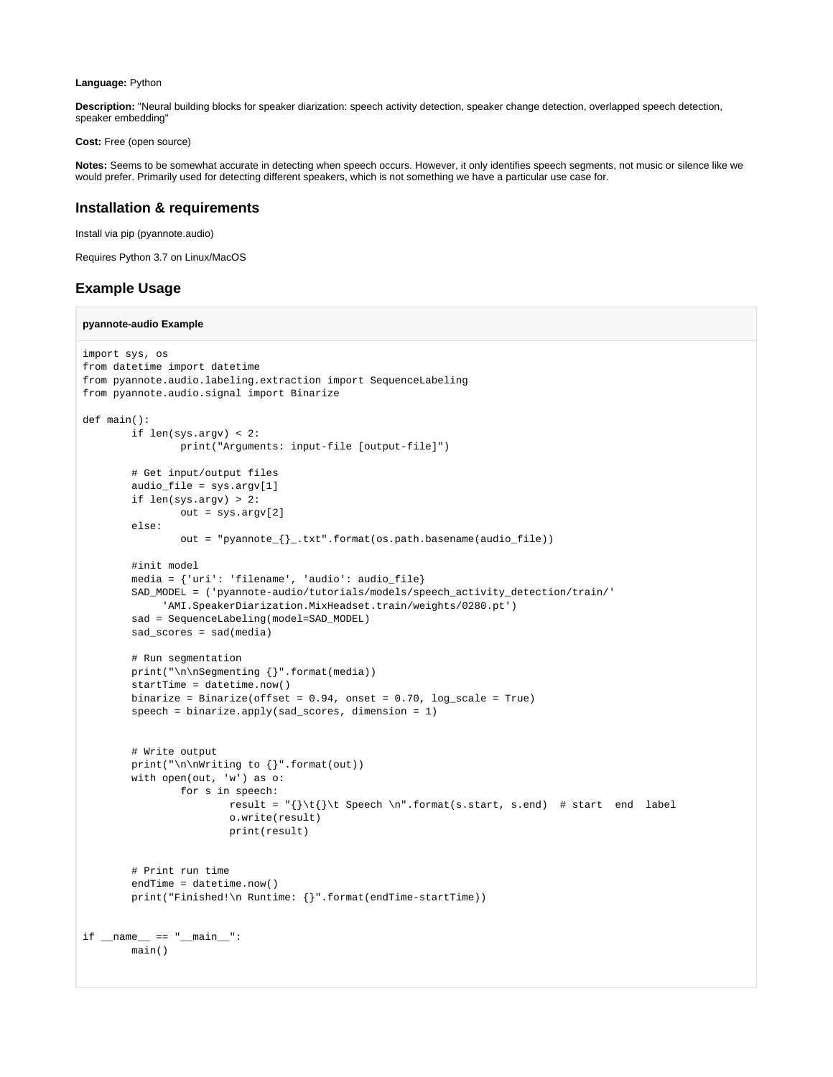#### **Language:** Python

**Description:** "Neural building blocks for speaker diarization: speech activity detection, speaker change detection, overlapped speech detection, speaker embedding"

**Cost:** Free (open source)

**Notes:** Seems to be somewhat accurate in detecting when speech occurs. However, it only identifies speech segments, not music or silence like we would prefer. Primarily used for detecting different speakers, which is not something we have a particular use case for.

## **Installation & requirements**

Install via pip (pyannote.audio)

Requires Python 3.7 on Linux/MacOS

## **Example Usage**

#### **pyannote-audio Example**

```
import sys, os
from datetime import datetime
from pyannote.audio.labeling.extraction import SequenceLabeling
from pyannote.audio.signal import Binarize
def main():
         if len(sys.argv) < 2:
                 print("Arguments: input-file [output-file]")
         # Get input/output files
         audio_file = sys.argv[1]
         if len(sys.argv) > 2:
                 out = sys.argv[2]
         else:
                 out = "pyannote_{}_.txt".format(os.path.basename(audio_file))
         #init model
         media = {'uri': 'filename', 'audio': audio_file}
         SAD_MODEL = ('pyannote-audio/tutorials/models/speech_activity_detection/train/'
              'AMI.SpeakerDiarization.MixHeadset.train/weights/0280.pt')
         sad = SequenceLabeling(model=SAD_MODEL)
         sad_scores = sad(media)
         # Run segmentation
         print("\n\nSegmenting {}".format(media))
         startTime = datetime.now()
        binarize = Binarize(offset = 0.94, onset = 0.70, log_scale = True)
         speech = binarize.apply(sad_scores, dimension = 1)
         # Write output
         print("\n\nWriting to {}".format(out))
         with open(out, 'w') as o:
                 for s in speech:
                         result = "{}\t{}\t Speech \n".format(s.start, s.end) # start end label
                         o.write(result)
                         print(result)
         # Print run time
         endTime = datetime.now()
         print("Finished!\n Runtime: {}".format(endTime-startTime))
if __name__ == '__main__": main()
```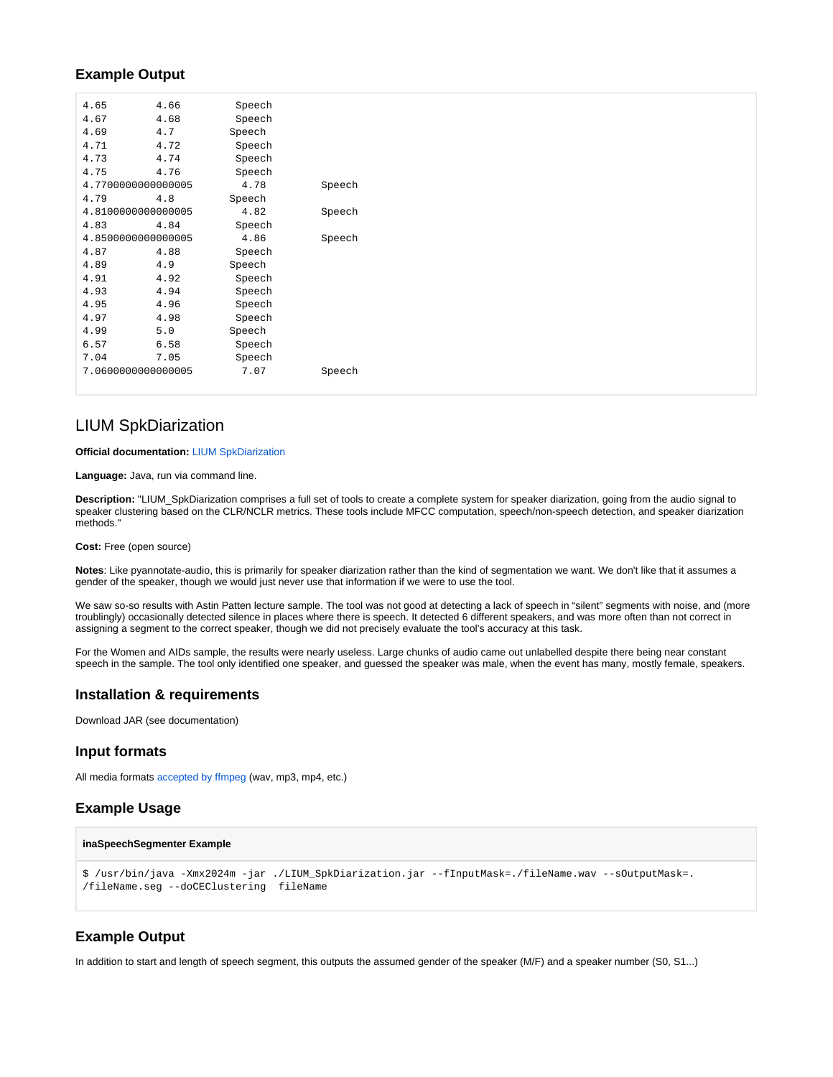## **Example Output**

| 4.65 | 4.66               | Speech |        |
|------|--------------------|--------|--------|
| 4.67 | 4.68               | Speech |        |
| 4.69 | 4.7                | Speech |        |
| 4.71 | 4.72               | Speech |        |
| 4.73 | 4.74               | Speech |        |
| 4.75 | 4.76               | Speech |        |
|      | 4.7700000000000005 | 4.78   | Speech |
| 4.79 | 4.8                | Speech |        |
|      | 4.8100000000000005 | 4.82   | Speech |
| 4.83 | 4.84               | Speech |        |
|      | 4.8500000000000005 | 4.86   | Speech |
| 4.87 | 4.88               | Speech |        |
| 4.89 | 4.9                | Speech |        |
| 4.91 | 4.92               | Speech |        |
| 4.93 | 4.94               | Speech |        |
| 4.95 | 4.96               | Speech |        |
| 4.97 | 4.98               | Speech |        |
| 4.99 | 5.0                | Speech |        |
| 6.57 | 6.58               | Speech |        |
| 7.04 | 7.05               | Speech |        |
|      | 7.060000000000005  | 7.07   | Speech |
|      |                    |        |        |

## <span id="page-6-0"></span>LIUM SpkDiarization

#### **Official documentation:** [LIUM SpkDiarization](https://projets-lium.univ-lemans.fr/spkdiarization/quick-start/)

**Language:** Java, run via command line.

**Description:** "LIUM\_SpkDiarization comprises a full set of tools to create a complete system for speaker diarization, going from the audio signal to speaker clustering based on the CLR/NCLR metrics. These tools include MFCC computation, speech/non-speech detection, and speaker diarization methods.

**Cost:** Free (open source)

**Notes**: Like pyannotate-audio, this is primarily for speaker diarization rather than the kind of segmentation we want. We don't like that it assumes a gender of the speaker, though we would just never use that information if we were to use the tool.

We saw so-so results with Astin Patten lecture sample. The tool was not good at detecting a lack of speech in "silent" segments with noise, and (more troublingly) occasionally detected silence in places where there is speech. It detected 6 different speakers, and was more often than not correct in assigning a segment to the correct speaker, though we did not precisely evaluate the tool's accuracy at this task.

For the Women and AIDs sample, the results were nearly useless. Large chunks of audio came out unlabelled despite there being near constant speech in the sample. The tool only identified one speaker, and guessed the speaker was male, when the event has many, mostly female, speakers.

## **Installation & requirements**

Download JAR (see documentation)

## **Input formats**

All media formats [accepted by ffmpeg](https://www.ffmpeg.org/general.html#Supported-File-Formats_002c-Codecs-or-Features) (wav, mp3, mp4, etc.)

## **Example Usage**

#### **inaSpeechSegmenter Example**

```
$ /usr/bin/java -Xmx2024m -jar ./LIUM_SpkDiarization.jar --fInputMask=./fileName.wav --sOutputMask=.
/fileName.seg --doCEClustering fileName
```
## **Example Output**

In addition to start and length of speech segment, this outputs the assumed gender of the speaker (M/F) and a speaker number (S0, S1...)